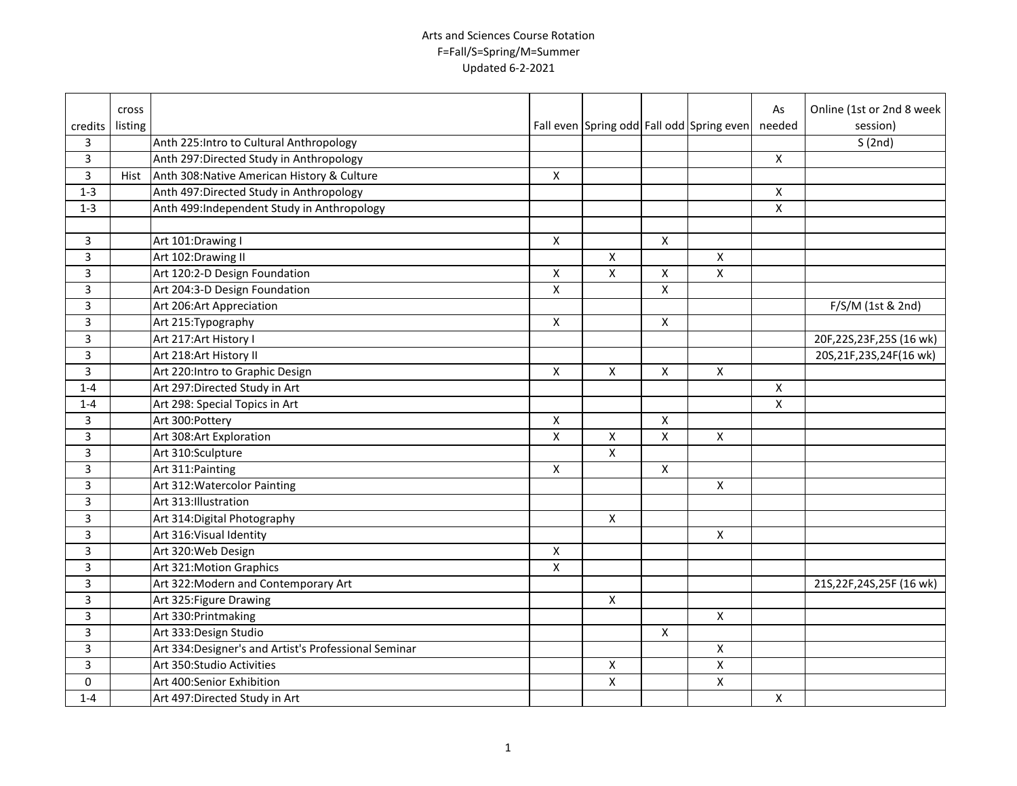|                         | cross   |                                                       |                         |                    |              |                                           | As                 | Online (1st or 2nd 8 week  |
|-------------------------|---------|-------------------------------------------------------|-------------------------|--------------------|--------------|-------------------------------------------|--------------------|----------------------------|
| credits                 | listing |                                                       |                         |                    |              | Fall even Spring odd Fall odd Spring even | needed             | session)                   |
| 3                       |         | Anth 225: Intro to Cultural Anthropology              |                         |                    |              |                                           |                    | S(2nd)                     |
| $\overline{\mathbf{3}}$ |         | Anth 297:Directed Study in Anthropology               |                         |                    |              |                                           | $\pmb{\mathsf{X}}$ |                            |
| $\overline{\mathbf{3}}$ | Hist    | Anth 308: Native American History & Culture           | Χ                       |                    |              |                                           |                    |                            |
| $1-3$                   |         | Anth 497: Directed Study in Anthropology              |                         |                    |              |                                           | X                  |                            |
| $1 - 3$                 |         | Anth 499:Independent Study in Anthropology            |                         |                    |              |                                           | $\pmb{\times}$     |                            |
|                         |         |                                                       |                         |                    |              |                                           |                    |                            |
| 3                       |         | Art 101:Drawing I                                     | X                       |                    | $\mathsf{X}$ |                                           |                    |                            |
| 3                       |         | Art 102:Drawing II                                    |                         | X                  |              | $\mathsf{X}$                              |                    |                            |
| 3                       |         | Art 120:2-D Design Foundation                         | X                       | X                  | X            | X                                         |                    |                            |
| 3                       |         | Art 204:3-D Design Foundation                         | X                       |                    | X            |                                           |                    |                            |
| 3                       |         | Art 206: Art Appreciation                             |                         |                    |              |                                           |                    | F/S/M (1st & 2nd)          |
| 3                       |         | Art 215: Typography                                   | X                       |                    | X            |                                           |                    |                            |
| 3                       |         | Art 217: Art History I                                |                         |                    |              |                                           |                    | 20F,22S,23F,25S (16 wk)    |
| 3                       |         | Art 218:Art History II                                |                         |                    |              |                                           |                    | 20S, 21F, 23S, 24F(16 wk)  |
| 3                       |         | Art 220: Intro to Graphic Design                      | X                       | $\pmb{\times}$     | X            | $\pmb{\times}$                            |                    |                            |
| $1 - 4$                 |         | Art 297: Directed Study in Art                        |                         |                    |              |                                           | $\pmb{\times}$     |                            |
| $1 - 4$                 |         | Art 298: Special Topics in Art                        |                         |                    |              |                                           | $\pmb{\mathsf{X}}$ |                            |
| 3                       |         | Art 300:Pottery                                       | X                       |                    | X            |                                           |                    |                            |
| 3                       |         | Art 308:Art Exploration                               | $\mathsf{\overline{X}}$ | X                  | X            | $\mathsf{X}$                              |                    |                            |
| 3                       |         | Art 310:Sculpture                                     |                         | $\pmb{\times}$     |              |                                           |                    |                            |
| 3                       |         | Art 311: Painting                                     | X                       |                    | X            |                                           |                    |                            |
| 3                       |         | Art 312: Watercolor Painting                          |                         |                    |              | $\mathsf{X}$                              |                    |                            |
| 3                       |         | Art 313: Illustration                                 |                         |                    |              |                                           |                    |                            |
| 3                       |         | Art 314: Digital Photography                          |                         | X                  |              |                                           |                    |                            |
| 3                       |         | Art 316: Visual Identity                              |                         |                    |              | $\mathsf{X}$                              |                    |                            |
| 3                       |         | Art 320: Web Design                                   | $\pmb{\mathsf{X}}$      |                    |              |                                           |                    |                            |
| 3                       |         | Art 321: Motion Graphics                              | $\overline{\mathsf{x}}$ |                    |              |                                           |                    |                            |
| 3                       |         | Art 322: Modern and Contemporary Art                  |                         |                    |              |                                           |                    | 21S, 22F, 24S, 25F (16 wk) |
| 3                       |         | Art 325: Figure Drawing                               |                         | $\pmb{\mathsf{X}}$ |              |                                           |                    |                            |
| 3                       |         | Art 330: Printmaking                                  |                         |                    |              | $\pmb{\times}$                            |                    |                            |
| 3                       |         | Art 333: Design Studio                                |                         |                    | X            |                                           |                    |                            |
| 3                       |         | Art 334: Designer's and Artist's Professional Seminar |                         |                    |              | X                                         |                    |                            |
| 3                       |         | Art 350: Studio Activities                            |                         | Χ                  |              | $\pmb{\times}$                            |                    |                            |
| 0                       |         | Art 400:Senior Exhibition                             |                         | $\pmb{\chi}$       |              | $\pmb{\mathsf{X}}$                        |                    |                            |
| $1 - 4$                 |         | Art 497: Directed Study in Art                        |                         |                    |              |                                           | X                  |                            |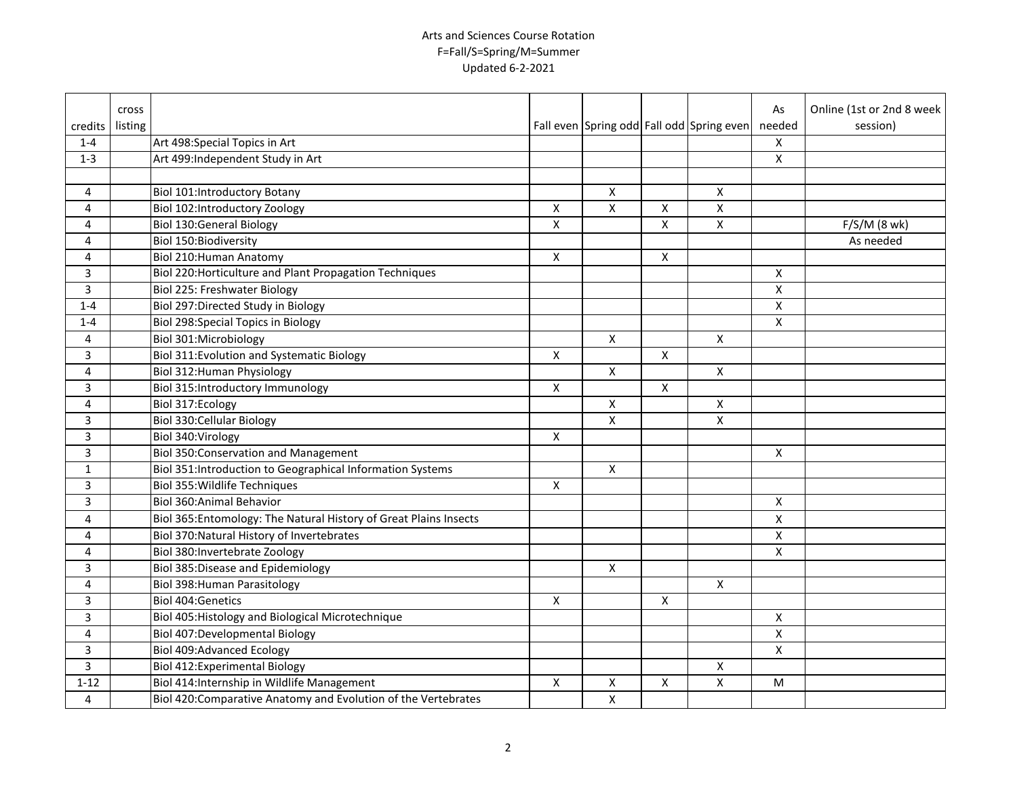|                | <b>cross</b> |                                                                   |                           |   |              |                                           | As                                                                                                         | Online (1st or 2nd 8 week |
|----------------|--------------|-------------------------------------------------------------------|---------------------------|---|--------------|-------------------------------------------|------------------------------------------------------------------------------------------------------------|---------------------------|
| credits        | listing      |                                                                   |                           |   |              | Fall even Spring odd Fall odd Spring even | needed                                                                                                     | session)                  |
| $1 - 4$        |              | Art 498: Special Topics in Art                                    |                           |   |              |                                           | X                                                                                                          |                           |
| $1 - 3$        |              | Art 499:Independent Study in Art                                  |                           |   |              |                                           | X                                                                                                          |                           |
|                |              |                                                                   |                           |   |              |                                           |                                                                                                            |                           |
| $\overline{4}$ |              | <b>Biol 101:Introductory Botany</b>                               |                           | X |              | X                                         |                                                                                                            |                           |
| $\overline{4}$ |              | Biol 102:Introductory Zoology                                     | $\pmb{\times}$            | X | Χ            | $\mathsf{X}$                              |                                                                                                            |                           |
| 4              |              | <b>Biol 130:General Biology</b>                                   | $\pmb{\mathsf{X}}$        |   | X            | $\pmb{\mathsf{X}}$                        |                                                                                                            | $F/S/M$ (8 wk)            |
| 4              |              | <b>Biol 150: Biodiversity</b>                                     |                           |   |              |                                           |                                                                                                            | As needed                 |
| 4              |              | Biol 210: Human Anatomy                                           | X                         |   | X            |                                           |                                                                                                            |                           |
| 3              |              | Biol 220: Horticulture and Plant Propagation Techniques           |                           |   |              |                                           | X                                                                                                          |                           |
| $\overline{3}$ |              | Biol 225: Freshwater Biology                                      |                           |   |              |                                           | X                                                                                                          |                           |
| $1 - 4$        |              | Biol 297: Directed Study in Biology                               |                           |   |              |                                           | $\pmb{\mathsf{X}}$                                                                                         |                           |
| $1 - 4$        |              | <b>Biol 298:Special Topics in Biology</b>                         |                           |   |              |                                           | $\pmb{\chi}$                                                                                               |                           |
| 4              |              | Biol 301:Microbiology                                             |                           | X |              | $\mathsf{X}$                              |                                                                                                            |                           |
| 3              |              | <b>Biol 311:Evolution and Systematic Biology</b>                  | X                         |   | X            |                                           |                                                                                                            |                           |
| 4              |              | Biol 312: Human Physiology                                        |                           | X |              | X                                         |                                                                                                            |                           |
| 3              |              | Biol 315:Introductory Immunology                                  | X                         |   | X            |                                           |                                                                                                            |                           |
| 4              |              | Biol 317:Ecology                                                  |                           | X |              | X                                         |                                                                                                            |                           |
| 3              |              | <b>Biol 330: Cellular Biology</b>                                 |                           | X |              | $\pmb{\mathsf{X}}$                        |                                                                                                            |                           |
| 3              |              | Biol 340: Virology                                                | X                         |   |              |                                           |                                                                                                            |                           |
| 3              |              | <b>Biol 350: Conservation and Management</b>                      |                           |   |              |                                           | X                                                                                                          |                           |
| $\mathbf{1}$   |              | Biol 351: Introduction to Geographical Information Systems        |                           | X |              |                                           |                                                                                                            |                           |
| 3              |              | Biol 355: Wildlife Techniques                                     | $\mathsf{X}$              |   |              |                                           |                                                                                                            |                           |
| 3              |              | Biol 360: Animal Behavior                                         |                           |   |              |                                           | $\pmb{\mathsf{X}}$                                                                                         |                           |
| 4              |              | Biol 365: Entomology: The Natural History of Great Plains Insects |                           |   |              |                                           | X                                                                                                          |                           |
| 4              |              | Biol 370: Natural History of Invertebrates                        |                           |   |              |                                           | X                                                                                                          |                           |
| 4              |              | Biol 380: Invertebrate Zoology                                    |                           |   |              |                                           | X                                                                                                          |                           |
| 3              |              | <b>Biol 385:Disease and Epidemiology</b>                          |                           | X |              |                                           |                                                                                                            |                           |
| 4              |              | Biol 398: Human Parasitology                                      |                           |   |              | $\pmb{\mathsf{X}}$                        |                                                                                                            |                           |
| 3              |              | <b>Biol 404: Genetics</b>                                         | $\boldsymbol{\mathsf{X}}$ |   | X            |                                           |                                                                                                            |                           |
| 3              |              | Biol 405: Histology and Biological Microtechnique                 |                           |   |              |                                           | $\pmb{\mathsf{X}}$                                                                                         |                           |
| 4              |              | Biol 407:Developmental Biology                                    |                           |   |              |                                           | X                                                                                                          |                           |
| 3              |              | <b>Biol 409:Advanced Ecology</b>                                  |                           |   |              |                                           | X                                                                                                          |                           |
| 3              |              | <b>Biol 412:Experimental Biology</b>                              |                           |   |              | X                                         |                                                                                                            |                           |
| $1 - 12$       |              | Biol 414:Internship in Wildlife Management                        | $\pmb{\times}$            | Χ | $\mathsf{x}$ | $\mathsf{X}$                              | $\mathsf{M}% _{T}=\mathsf{M}_{T}\!\left( a,b\right) ,\ \mathsf{M}_{T}=\mathsf{M}_{T}\!\left( a,b\right) ,$ |                           |
| 4              |              | Biol 420: Comparative Anatomy and Evolution of the Vertebrates    |                           | X |              |                                           |                                                                                                            |                           |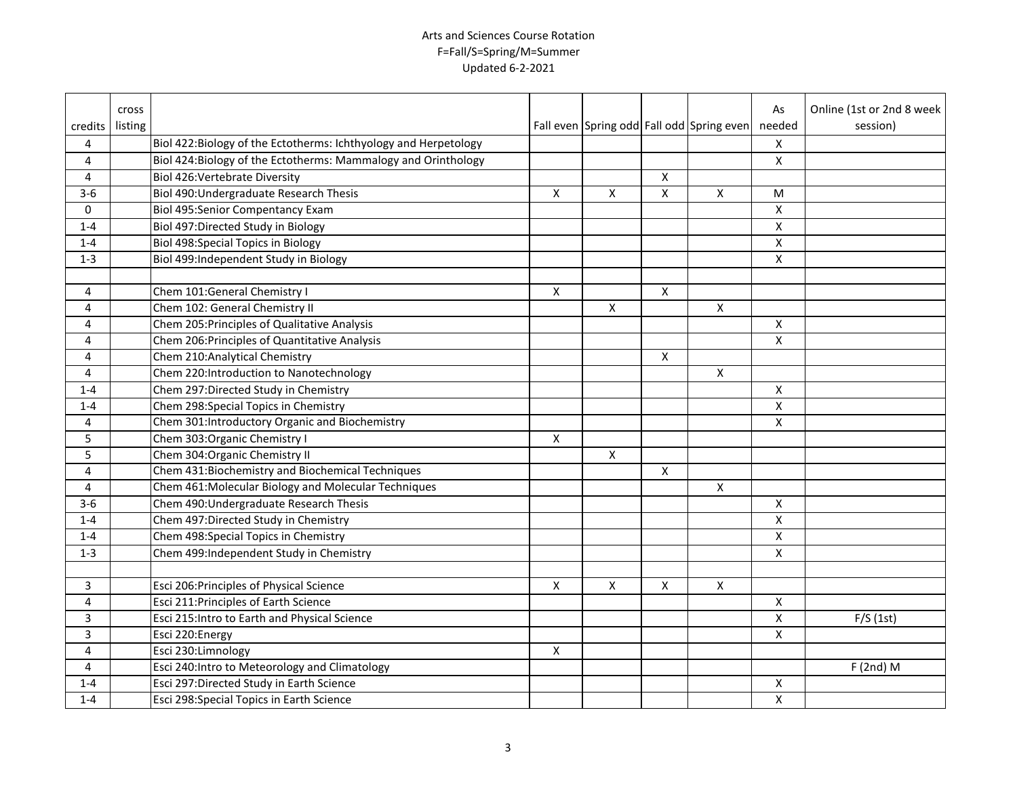|         | cross   |                                                                  |                    |                    |                           |                                           | As                        | Online (1st or 2nd 8 week |
|---------|---------|------------------------------------------------------------------|--------------------|--------------------|---------------------------|-------------------------------------------|---------------------------|---------------------------|
| credits | listing |                                                                  |                    |                    |                           | Fall even Spring odd Fall odd Spring even | needed                    | session)                  |
| 4       |         | Biol 422: Biology of the Ectotherms: Ichthyology and Herpetology |                    |                    |                           |                                           | $\mathsf{X}$              |                           |
| 4       |         | Biol 424: Biology of the Ectotherms: Mammalogy and Orinthology   |                    |                    |                           |                                           | X                         |                           |
| 4       |         | <b>Biol 426: Vertebrate Diversity</b>                            |                    |                    | X                         |                                           |                           |                           |
| $3-6$   |         | Biol 490: Undergraduate Research Thesis                          | Χ                  | X                  | X                         | X                                         | M                         |                           |
| 0       |         | Biol 495:Senior Compentancy Exam                                 |                    |                    |                           |                                           | X                         |                           |
| $1 - 4$ |         | Biol 497: Directed Study in Biology                              |                    |                    |                           |                                           | X                         |                           |
| $1 - 4$ |         | <b>Biol 498:Special Topics in Biology</b>                        |                    |                    |                           |                                           | $\pmb{\times}$            |                           |
| $1 - 3$ |         | Biol 499:Independent Study in Biology                            |                    |                    |                           |                                           | $\pmb{\times}$            |                           |
|         |         |                                                                  |                    |                    |                           |                                           |                           |                           |
| 4       |         | Chem 101:General Chemistry I                                     | X                  |                    | $\boldsymbol{\mathsf{X}}$ |                                           |                           |                           |
| 4       |         | Chem 102: General Chemistry II                                   |                    | X                  |                           | X                                         |                           |                           |
| 4       |         | Chem 205: Principles of Qualitative Analysis                     |                    |                    |                           |                                           | $\boldsymbol{\mathsf{X}}$ |                           |
| 4       |         | Chem 206: Principles of Quantitative Analysis                    |                    |                    |                           |                                           | $\pmb{\times}$            |                           |
| 4       |         | Chem 210: Analytical Chemistry                                   |                    |                    | X                         |                                           |                           |                           |
| 4       |         | Chem 220:Introduction to Nanotechnology                          |                    |                    |                           | $\mathsf{X}$                              |                           |                           |
| $1 - 4$ |         | Chem 297: Directed Study in Chemistry                            |                    |                    |                           |                                           | $\boldsymbol{\mathsf{X}}$ |                           |
| $1 - 4$ |         | Chem 298: Special Topics in Chemistry                            |                    |                    |                           |                                           | $\boldsymbol{\mathsf{X}}$ |                           |
| 4       |         | Chem 301: Introductory Organic and Biochemistry                  |                    |                    |                           |                                           | $\pmb{\times}$            |                           |
| 5       |         | Chem 303: Organic Chemistry I                                    | X                  |                    |                           |                                           |                           |                           |
| 5       |         | Chem 304: Organic Chemistry II                                   |                    | X                  |                           |                                           |                           |                           |
| 4       |         | Chem 431: Biochemistry and Biochemical Techniques                |                    |                    | X                         |                                           |                           |                           |
| 4       |         | Chem 461: Molecular Biology and Molecular Techniques             |                    |                    |                           | X                                         |                           |                           |
| $3 - 6$ |         | Chem 490: Undergraduate Research Thesis                          |                    |                    |                           |                                           | $\boldsymbol{\mathsf{X}}$ |                           |
| $1 - 4$ |         | Chem 497: Directed Study in Chemistry                            |                    |                    |                           |                                           | $\pmb{\times}$            |                           |
| $1 - 4$ |         | Chem 498: Special Topics in Chemistry                            |                    |                    |                           |                                           | $\pmb{\mathsf{X}}$        |                           |
| $1 - 3$ |         | Chem 499:Independent Study in Chemistry                          |                    |                    |                           |                                           | $\pmb{\chi}$              |                           |
|         |         |                                                                  |                    |                    |                           |                                           |                           |                           |
| 3       |         | Esci 206: Principles of Physical Science                         | $\pmb{\mathsf{X}}$ | $\pmb{\mathsf{X}}$ | Χ                         | $\mathsf{X}$                              |                           |                           |
| 4       |         | Esci 211: Principles of Earth Science                            |                    |                    |                           |                                           | $\pmb{\mathsf{X}}$        |                           |
| 3       |         | Esci 215: Intro to Earth and Physical Science                    |                    |                    |                           |                                           | X                         | F/S(1st)                  |
| 3       |         | Esci 220: Energy                                                 |                    |                    |                           |                                           | X                         |                           |
| 4       |         | Esci 230:Limnology                                               | X                  |                    |                           |                                           |                           |                           |
| 4       |         | Esci 240: Intro to Meteorology and Climatology                   |                    |                    |                           |                                           |                           | $F(2nd)$ M                |
| $1 - 4$ |         | Esci 297:Directed Study in Earth Science                         |                    |                    |                           |                                           | Х                         |                           |
| $1 - 4$ |         | Esci 298:Special Topics in Earth Science                         |                    |                    |                           |                                           | $\pmb{\mathsf{X}}$        |                           |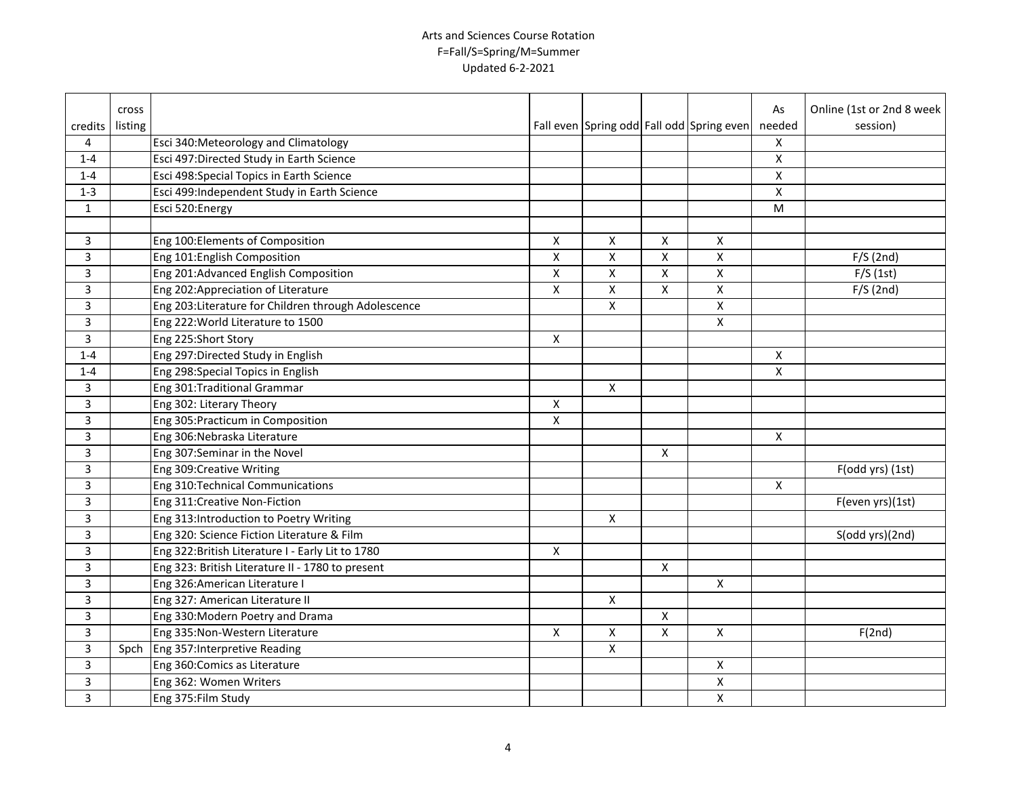|                | cross   |                                                      |                    |                    |                |                                           | As                                                                                    | Online (1st or 2nd 8 week |
|----------------|---------|------------------------------------------------------|--------------------|--------------------|----------------|-------------------------------------------|---------------------------------------------------------------------------------------|---------------------------|
| credits        | listing |                                                      |                    |                    |                | Fall even Spring odd Fall odd Spring even | needed                                                                                | session)                  |
| 4              |         | Esci 340: Meteorology and Climatology                |                    |                    |                |                                           | $\pmb{\mathsf{X}}$                                                                    |                           |
| $1 - 4$        |         | Esci 497: Directed Study in Earth Science            |                    |                    |                |                                           | X                                                                                     |                           |
| $1 - 4$        |         | Esci 498: Special Topics in Earth Science            |                    |                    |                |                                           | X                                                                                     |                           |
| $1 - 3$        |         | Esci 499:Independent Study in Earth Science          |                    |                    |                |                                           | X                                                                                     |                           |
| $\mathbf{1}$   |         | Esci 520: Energy                                     |                    |                    |                |                                           | $\mathsf{M}% _{T}=\mathsf{M}_{T}\!\left( a,b\right) ,\ \mathsf{M}_{T}=\mathsf{M}_{T}$ |                           |
|                |         |                                                      |                    |                    |                |                                           |                                                                                       |                           |
| 3              |         | Eng 100: Elements of Composition                     | X                  | X                  | X              | $\mathsf{X}$                              |                                                                                       |                           |
| $\mathbf{3}$   |         | Eng 101: English Composition                         | $\pmb{\mathsf{X}}$ | X                  | X              | X                                         |                                                                                       | F/S(2nd)                  |
| $\overline{3}$ |         | Eng 201:Advanced English Composition                 | $\pmb{\mathsf{X}}$ | $\pmb{\mathsf{X}}$ | X              | X                                         |                                                                                       | F/S(1st)                  |
| $\overline{3}$ |         | Eng 202: Appreciation of Literature                  | $\pmb{\mathsf{X}}$ | X                  | X              | $\pmb{\times}$                            |                                                                                       | F/S(2nd)                  |
| $\overline{3}$ |         | Eng 203: Literature for Children through Adolescence |                    | X                  |                | X                                         |                                                                                       |                           |
| $\overline{3}$ |         | Eng 222: World Literature to 1500                    |                    |                    |                | X                                         |                                                                                       |                           |
| 3              |         | Eng 225:Short Story                                  | X                  |                    |                |                                           |                                                                                       |                           |
| $1 - 4$        |         | Eng 297: Directed Study in English                   |                    |                    |                |                                           | X                                                                                     |                           |
| $1 - 4$        |         | Eng 298: Special Topics in English                   |                    |                    |                |                                           | $\pmb{\mathsf{X}}$                                                                    |                           |
| 3              |         | Eng 301: Traditional Grammar                         |                    | $\pmb{\mathsf{X}}$ |                |                                           |                                                                                       |                           |
| 3              |         | Eng 302: Literary Theory                             | X                  |                    |                |                                           |                                                                                       |                           |
| 3              |         | Eng 305: Practicum in Composition                    | X                  |                    |                |                                           |                                                                                       |                           |
| 3              |         | Eng 306: Nebraska Literature                         |                    |                    |                |                                           | $\mathsf{x}$                                                                          |                           |
| 3              |         | Eng 307:Seminar in the Novel                         |                    |                    | X              |                                           |                                                                                       |                           |
| 3              |         | Eng 309: Creative Writing                            |                    |                    |                |                                           |                                                                                       | $F(odd yrs)$ (1st)        |
| 3              |         | Eng 310: Technical Communications                    |                    |                    |                |                                           | X                                                                                     |                           |
| 3              |         | Eng 311: Creative Non-Fiction                        |                    |                    |                |                                           |                                                                                       | F(even yrs)(1st)          |
| 3              |         | Eng 313: Introduction to Poetry Writing              |                    | X                  |                |                                           |                                                                                       |                           |
| $\overline{3}$ |         | Eng 320: Science Fiction Literature & Film           |                    |                    |                |                                           |                                                                                       | S(odd yrs)(2nd)           |
| 3              |         | Eng 322: British Literature I - Early Lit to 1780    | X                  |                    |                |                                           |                                                                                       |                           |
| 3              |         | Eng 323: British Literature II - 1780 to present     |                    |                    | X              |                                           |                                                                                       |                           |
| 3              |         | Eng 326: American Literature I                       |                    |                    |                | X                                         |                                                                                       |                           |
| 3              |         | Eng 327: American Literature II                      |                    | $\pmb{\chi}$       |                |                                           |                                                                                       |                           |
| 3              |         | Eng 330: Modern Poetry and Drama                     |                    |                    | X              |                                           |                                                                                       |                           |
| 3              |         | Eng 335: Non-Western Literature                      | X                  | X                  | $\overline{X}$ | $\pmb{\times}$                            |                                                                                       | F(2nd)                    |
| 3              |         | Spch Eng 357: Interpretive Reading                   |                    | X                  |                |                                           |                                                                                       |                           |
| 3              |         | Eng 360: Comics as Literature                        |                    |                    |                | Χ                                         |                                                                                       |                           |
| 3              |         | Eng 362: Women Writers                               |                    |                    |                | $\pmb{\mathsf{X}}$                        |                                                                                       |                           |
| 3              |         | Eng 375: Film Study                                  |                    |                    |                | $\pmb{\mathsf{X}}$                        |                                                                                       |                           |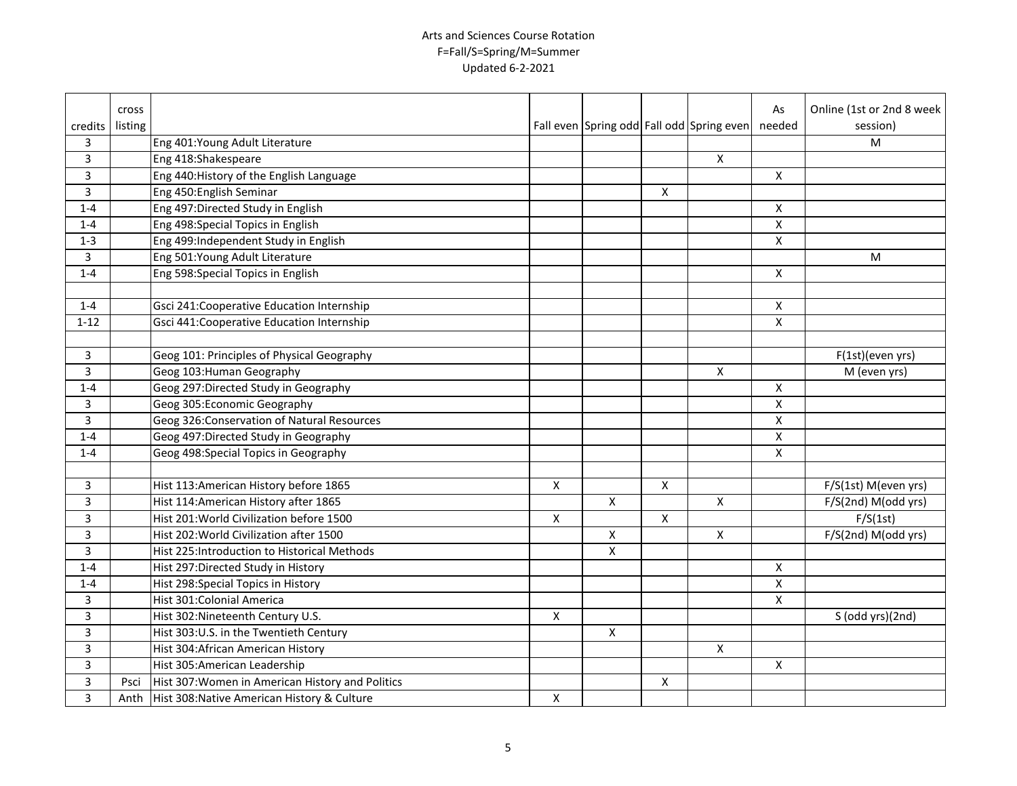|                | cross   |                                                       |                |                    |                |                                           | As                 | Online (1st or 2nd 8 week |
|----------------|---------|-------------------------------------------------------|----------------|--------------------|----------------|-------------------------------------------|--------------------|---------------------------|
| credits        | listing |                                                       |                |                    |                | Fall even Spring odd Fall odd Spring even | needed             | session)                  |
| 3              |         | Eng 401: Young Adult Literature                       |                |                    |                |                                           |                    | M                         |
| $\overline{3}$ |         | Eng 418:Shakespeare                                   |                |                    |                | $\pmb{\mathsf{X}}$                        |                    |                           |
| $\overline{3}$ |         | Eng 440: History of the English Language              |                |                    |                |                                           | $\pmb{\mathsf{X}}$ |                           |
| $\overline{3}$ |         | Eng 450: English Seminar                              |                |                    | X              |                                           |                    |                           |
| $1 - 4$        |         | Eng 497: Directed Study in English                    |                |                    |                |                                           | $\pmb{\mathsf{X}}$ |                           |
| $1 - 4$        |         | Eng 498: Special Topics in English                    |                |                    |                |                                           | $\pmb{\mathsf{X}}$ |                           |
| $1 - 3$        |         | Eng 499:Independent Study in English                  |                |                    |                |                                           | X                  |                           |
| 3              |         | Eng 501: Young Adult Literature                       |                |                    |                |                                           |                    | M                         |
| $1 - 4$        |         | Eng 598: Special Topics in English                    |                |                    |                |                                           | X                  |                           |
|                |         |                                                       |                |                    |                |                                           |                    |                           |
| $1 - 4$        |         | Gsci 241: Cooperative Education Internship            |                |                    |                |                                           | X                  |                           |
| $1 - 12$       |         | Gsci 441: Cooperative Education Internship            |                |                    |                |                                           | X                  |                           |
|                |         |                                                       |                |                    |                |                                           |                    |                           |
| 3              |         | Geog 101: Principles of Physical Geography            |                |                    |                |                                           |                    | F(1st)(even yrs)          |
| 3              |         | Geog 103: Human Geography                             |                |                    |                | X                                         |                    | M (even yrs)              |
| $1 - 4$        |         | Geog 297: Directed Study in Geography                 |                |                    |                |                                           | X                  |                           |
| 3              |         | Geog 305: Economic Geography                          |                |                    |                |                                           | $\pmb{\mathsf{X}}$ |                           |
| 3              |         | Geog 326: Conservation of Natural Resources           |                |                    |                |                                           | $\pmb{\mathsf{X}}$ |                           |
| $1 - 4$        |         | Geog 497: Directed Study in Geography                 |                |                    |                |                                           | X                  |                           |
| $1 - 4$        |         | Geog 498: Special Topics in Geography                 |                |                    |                |                                           | $\pmb{\chi}$       |                           |
|                |         |                                                       |                |                    |                |                                           |                    |                           |
| $\mathbf{3}$   |         | Hist 113: American History before 1865                | X              |                    | X              |                                           |                    | F/S(1st) M(even yrs)      |
| 3              |         | Hist 114: American History after 1865                 |                | $\mathsf{x}$       |                | $\mathsf{x}$                              |                    | F/S(2nd) M(odd yrs)       |
| 3              |         | Hist 201: World Civilization before 1500              | X              |                    | $\pmb{\times}$ |                                           |                    | F/S(1st)                  |
| 3              |         | Hist 202: World Civilization after 1500               |                | $\pmb{\mathsf{X}}$ |                | $\pmb{\times}$                            |                    | F/S(2nd) M(odd yrs)       |
| 3              |         | Hist 225: Introduction to Historical Methods          |                | $\pmb{\mathsf{X}}$ |                |                                           |                    |                           |
| $1 - 4$        |         | Hist 297: Directed Study in History                   |                |                    |                |                                           | $\pmb{\mathsf{X}}$ |                           |
| $1 - 4$        |         | Hist 298: Special Topics in History                   |                |                    |                |                                           | $\pmb{\mathsf{X}}$ |                           |
| 3              |         | Hist 301: Colonial America                            |                |                    |                |                                           | $\pmb{\mathsf{X}}$ |                           |
| 3              |         | Hist 302: Nineteenth Century U.S.                     | X              |                    |                |                                           |                    | S (odd yrs)(2nd)          |
| 3              |         | Hist 303:U.S. in the Twentieth Century                |                | X                  |                |                                           |                    |                           |
| 3              |         | Hist 304: African American History                    |                |                    |                | X                                         |                    |                           |
| 3              |         | Hist 305: American Leadership                         |                |                    |                |                                           | $\mathsf{X}$       |                           |
| 3              |         | Psci Hist 307: Women in American History and Politics |                |                    | X              |                                           |                    |                           |
| 3              | Anth    | Hist 308: Native American History & Culture           | $\pmb{\times}$ |                    |                |                                           |                    |                           |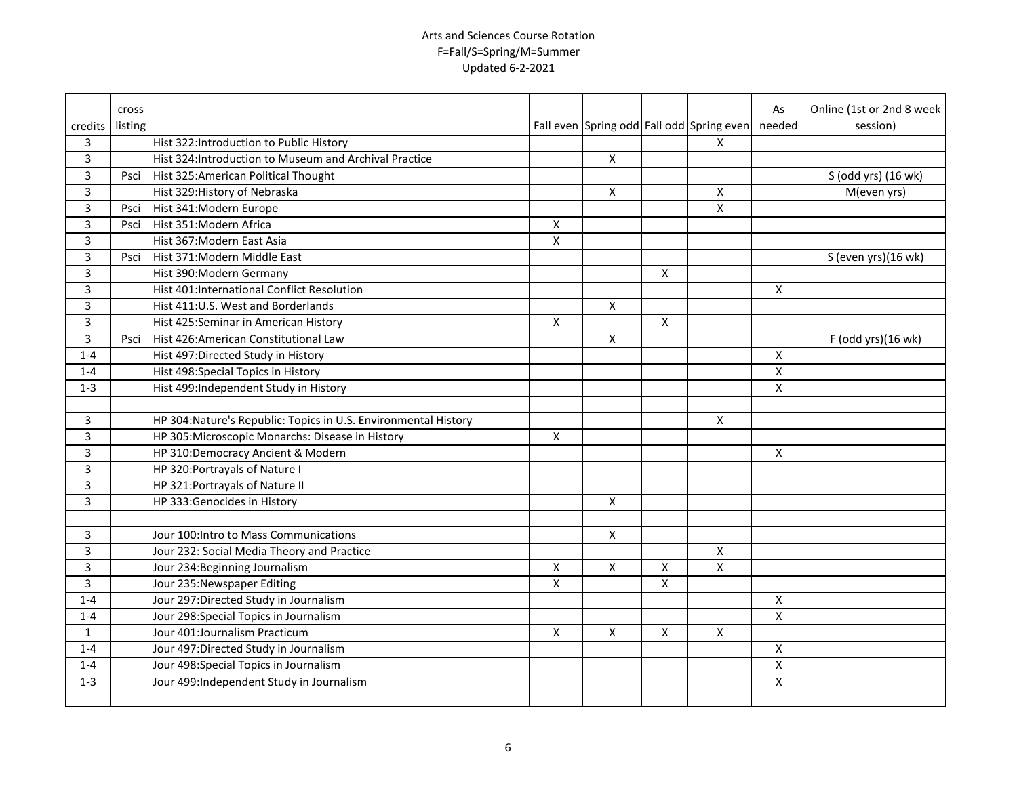|                         | cross   |                                                                 |                         |                    |                    |                                           | As                 | Online (1st or 2nd 8 week |
|-------------------------|---------|-----------------------------------------------------------------|-------------------------|--------------------|--------------------|-------------------------------------------|--------------------|---------------------------|
| credits                 | listing |                                                                 |                         |                    |                    | Fall even Spring odd Fall odd Spring even | needed             | session)                  |
| 3                       |         | Hist 322:Introduction to Public History                         |                         |                    |                    | $\mathsf{x}$                              |                    |                           |
| $\overline{\mathbf{3}}$ |         | Hist 324: Introduction to Museum and Archival Practice          |                         | $\pmb{\times}$     |                    |                                           |                    |                           |
| 3                       | Psci    | Hist 325: American Political Thought                            |                         |                    |                    |                                           |                    | S (odd yrs) (16 wk)       |
| $\overline{3}$          |         | Hist 329: History of Nebraska                                   |                         | $\pmb{\mathsf{X}}$ |                    | X                                         |                    | M(even yrs)               |
| $\overline{3}$          | Psci    | Hist 341: Modern Europe                                         |                         |                    |                    | $\pmb{\times}$                            |                    |                           |
| $\overline{3}$          | Psci    | Hist 351: Modern Africa                                         | X                       |                    |                    |                                           |                    |                           |
| 3                       |         | Hist 367: Modern East Asia                                      | X                       |                    |                    |                                           |                    |                           |
| 3                       | Psci    | Hist 371: Modern Middle East                                    |                         |                    |                    |                                           |                    | S (even yrs)(16 wk)       |
| 3                       |         | Hist 390: Modern Germany                                        |                         |                    | $\mathsf{X}$       |                                           |                    |                           |
| 3                       |         | Hist 401:International Conflict Resolution                      |                         |                    |                    |                                           | $\mathsf{x}$       |                           |
| 3                       |         | Hist 411:U.S. West and Borderlands                              |                         | X                  |                    |                                           |                    |                           |
| 3                       |         | Hist 425:Seminar in American History                            | X                       |                    | X                  |                                           |                    |                           |
| 3                       | Psci    | Hist 426: American Constitutional Law                           |                         | X                  |                    |                                           |                    | F (odd yrs)(16 wk)        |
| $1 - 4$                 |         | Hist 497: Directed Study in History                             |                         |                    |                    |                                           | X                  |                           |
| $1 - 4$                 |         | Hist 498: Special Topics in History                             |                         |                    |                    |                                           | X                  |                           |
| $1 - 3$                 |         | Hist 499:Independent Study in History                           |                         |                    |                    |                                           | X                  |                           |
|                         |         |                                                                 |                         |                    |                    |                                           |                    |                           |
| 3                       |         | HP 304: Nature's Republic: Topics in U.S. Environmental History |                         |                    |                    | $\mathsf{X}$                              |                    |                           |
| 3                       |         | HP 305: Microscopic Monarchs: Disease in History                | X                       |                    |                    |                                           |                    |                           |
| $\overline{3}$          |         | HP 310:Democracy Ancient & Modern                               |                         |                    |                    |                                           | X                  |                           |
| $\overline{3}$          |         | HP 320: Portrayals of Nature I                                  |                         |                    |                    |                                           |                    |                           |
| $\overline{3}$          |         | HP 321: Portrayals of Nature II                                 |                         |                    |                    |                                           |                    |                           |
| $\overline{3}$          |         | HP 333:Genocides in History                                     |                         | $\pmb{\times}$     |                    |                                           |                    |                           |
|                         |         |                                                                 |                         |                    |                    |                                           |                    |                           |
| 3                       |         | Jour 100: Intro to Mass Communications                          |                         | X                  |                    |                                           |                    |                           |
| 3                       |         | Jour 232: Social Media Theory and Practice                      |                         |                    |                    | X                                         |                    |                           |
| 3                       |         | Jour 234: Beginning Journalism                                  | $\pmb{\mathsf{X}}$      | $\mathsf{x}$       | X                  | $\overline{\mathsf{x}}$                   |                    |                           |
| 3                       |         | Jour 235: Newspaper Editing                                     | $\overline{\mathsf{x}}$ |                    | $\pmb{\mathsf{X}}$ |                                           |                    |                           |
| $1 - 4$                 |         | Jour 297: Directed Study in Journalism                          |                         |                    |                    |                                           | X                  |                           |
| $1 - 4$                 |         | Jour 298: Special Topics in Journalism                          |                         |                    |                    |                                           | $\pmb{\mathsf{X}}$ |                           |
| $\mathbf{1}$            |         | Jour 401:Journalism Practicum                                   | X                       | X                  | X                  | X                                         |                    |                           |
| $1 - 4$                 |         | Jour 497: Directed Study in Journalism                          |                         |                    |                    |                                           | $\pmb{\times}$     |                           |
| $1 - 4$                 |         | Jour 498: Special Topics in Journalism                          |                         |                    |                    |                                           | $\mathsf{X}$       |                           |
| $1 - 3$                 |         | Jour 499: Independent Study in Journalism                       |                         |                    |                    |                                           | $\mathsf{X}$       |                           |
|                         |         |                                                                 |                         |                    |                    |                                           |                    |                           |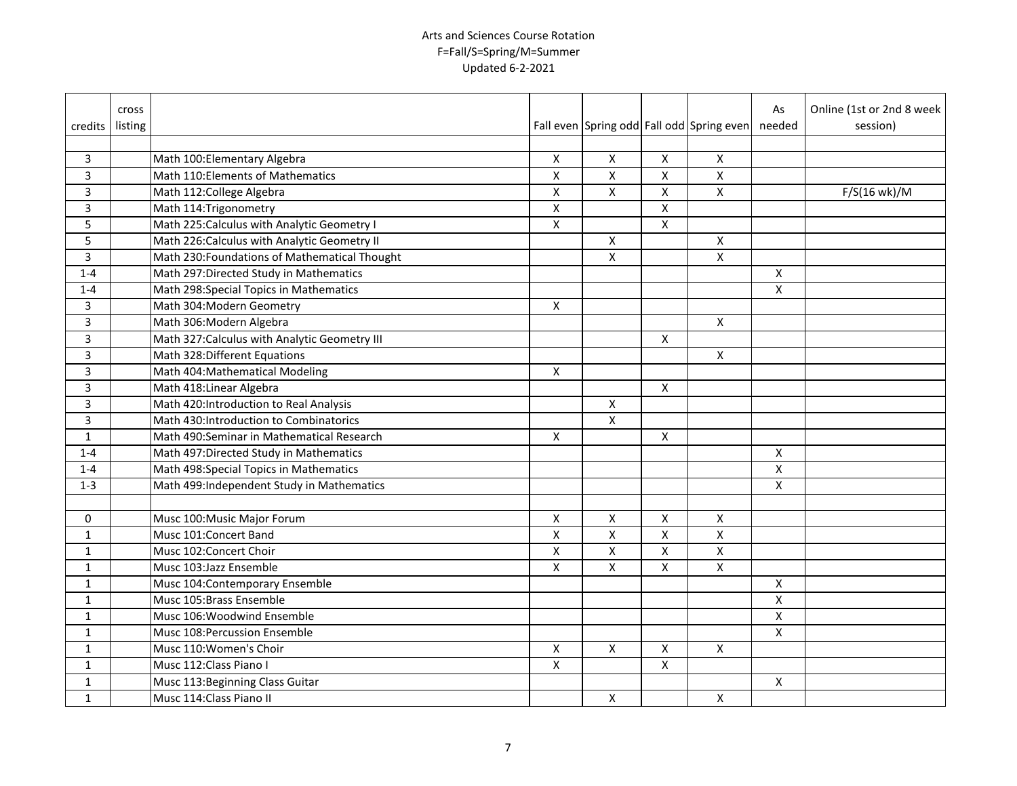|                | cross   |                                               |                    |                    |                    |                                           | As                        | Online (1st or 2nd 8 week |
|----------------|---------|-----------------------------------------------|--------------------|--------------------|--------------------|-------------------------------------------|---------------------------|---------------------------|
| credits        | listing |                                               |                    |                    |                    | Fall even Spring odd Fall odd Spring even | needed                    | session)                  |
| 3              |         | Math 100: Elementary Algebra                  | X                  | $\pmb{\mathsf{X}}$ | $\pmb{\times}$     | X                                         |                           |                           |
| $\overline{3}$ |         | Math 110: Elements of Mathematics             | $\pmb{\mathsf{X}}$ | X                  | X                  | $\pmb{\times}$                            |                           |                           |
| $\overline{3}$ |         | Math 112: College Algebra                     | $\pmb{\mathsf{X}}$ | X                  | X                  | $\pmb{\mathsf{X}}$                        |                           | $F/S(16 \text{ wk})/M$    |
| $\overline{3}$ |         | Math 114: Trigonometry                        | $\pmb{\mathsf{X}}$ |                    | $\overline{X}$     |                                           |                           |                           |
| 5              |         | Math 225: Calculus with Analytic Geometry I   | X                  |                    | $\pmb{\mathsf{X}}$ |                                           |                           |                           |
| 5              |         | Math 226: Calculus with Analytic Geometry II  |                    | X                  |                    | X                                         |                           |                           |
| $\overline{3}$ |         | Math 230: Foundations of Mathematical Thought |                    | Χ                  |                    | $\pmb{\times}$                            |                           |                           |
| $1 - 4$        |         | Math 297: Directed Study in Mathematics       |                    |                    |                    |                                           | $\mathsf{X}$              |                           |
| $1 - 4$        |         | Math 298:Special Topics in Mathematics        |                    |                    |                    |                                           | $\boldsymbol{\mathsf{X}}$ |                           |
| 3              |         | Math 304: Modern Geometry                     | X                  |                    |                    |                                           |                           |                           |
| $\overline{3}$ |         | Math 306: Modern Algebra                      |                    |                    |                    | $\boldsymbol{\mathsf{X}}$                 |                           |                           |
| $\overline{3}$ |         | Math 327: Calculus with Analytic Geometry III |                    |                    | X                  |                                           |                           |                           |
| $\overline{3}$ |         | Math 328: Different Equations                 |                    |                    |                    | $\boldsymbol{X}$                          |                           |                           |
| 3              |         | Math 404: Mathematical Modeling               | X                  |                    |                    |                                           |                           |                           |
| 3              |         | Math 418: Linear Algebra                      |                    |                    | X                  |                                           |                           |                           |
| 3              |         | Math 420: Introduction to Real Analysis       |                    | X                  |                    |                                           |                           |                           |
| 3              |         | Math 430: Introduction to Combinatorics       |                    | X                  |                    |                                           |                           |                           |
| $\mathbf{1}$   |         | Math 490:Seminar in Mathematical Research     | X                  |                    | X                  |                                           |                           |                           |
| $1 - 4$        |         | Math 497: Directed Study in Mathematics       |                    |                    |                    |                                           | $\boldsymbol{\mathsf{X}}$ |                           |
| $1 - 4$        |         | Math 498: Special Topics in Mathematics       |                    |                    |                    |                                           | $\boldsymbol{\mathsf{X}}$ |                           |
| $1 - 3$        |         | Math 499: Independent Study in Mathematics    |                    |                    |                    |                                           | $\boldsymbol{\mathsf{X}}$ |                           |
|                |         |                                               |                    |                    |                    |                                           |                           |                           |
| 0              |         | Musc 100: Music Major Forum                   | $\pmb{\mathsf{X}}$ | $\pmb{\mathsf{X}}$ | $\pmb{\mathsf{X}}$ | $\pmb{\times}$                            |                           |                           |
| $\mathbf{1}$   |         | Musc 101:Concert Band                         | $\pmb{\mathsf{X}}$ | X                  | $\pmb{\mathsf{X}}$ | $\pmb{\mathsf{X}}$                        |                           |                           |
| $\mathbf{1}$   |         | Musc 102:Concert Choir                        | $\pmb{\mathsf{X}}$ | X                  | X                  | $\pmb{\times}$                            |                           |                           |
| $\mathbf{1}$   |         | Musc 103:Jazz Ensemble                        | $\pmb{\mathsf{X}}$ | X                  | X                  | $\pmb{\mathsf{X}}$                        |                           |                           |
| $\mathbf{1}$   |         | Musc 104: Contemporary Ensemble               |                    |                    |                    |                                           | $\pmb{\chi}$              |                           |
| $\mathbf{1}$   |         | Musc 105:Brass Ensemble                       |                    |                    |                    |                                           | $\pmb{\mathsf{X}}$        |                           |
| $\mathbf{1}$   |         | Musc 106: Woodwind Ensemble                   |                    |                    |                    |                                           | $\pmb{\mathsf{X}}$        |                           |
| $\mathbf{1}$   |         | Musc 108: Percussion Ensemble                 |                    |                    |                    |                                           | X                         |                           |
| $\mathbf{1}$   |         | Musc 110: Women's Choir                       | X                  | X                  | X                  | X                                         |                           |                           |
| $\mathbf{1}$   |         | Musc 112: Class Piano I                       | $\pmb{\mathsf{X}}$ |                    | $\mathsf{x}$       |                                           |                           |                           |
| $\mathbf{1}$   |         | Musc 113: Beginning Class Guitar              |                    |                    |                    |                                           | $\mathsf{X}$              |                           |
| $\mathbf{1}$   |         | Musc 114: Class Piano II                      |                    | X                  |                    | $\pmb{\times}$                            |                           |                           |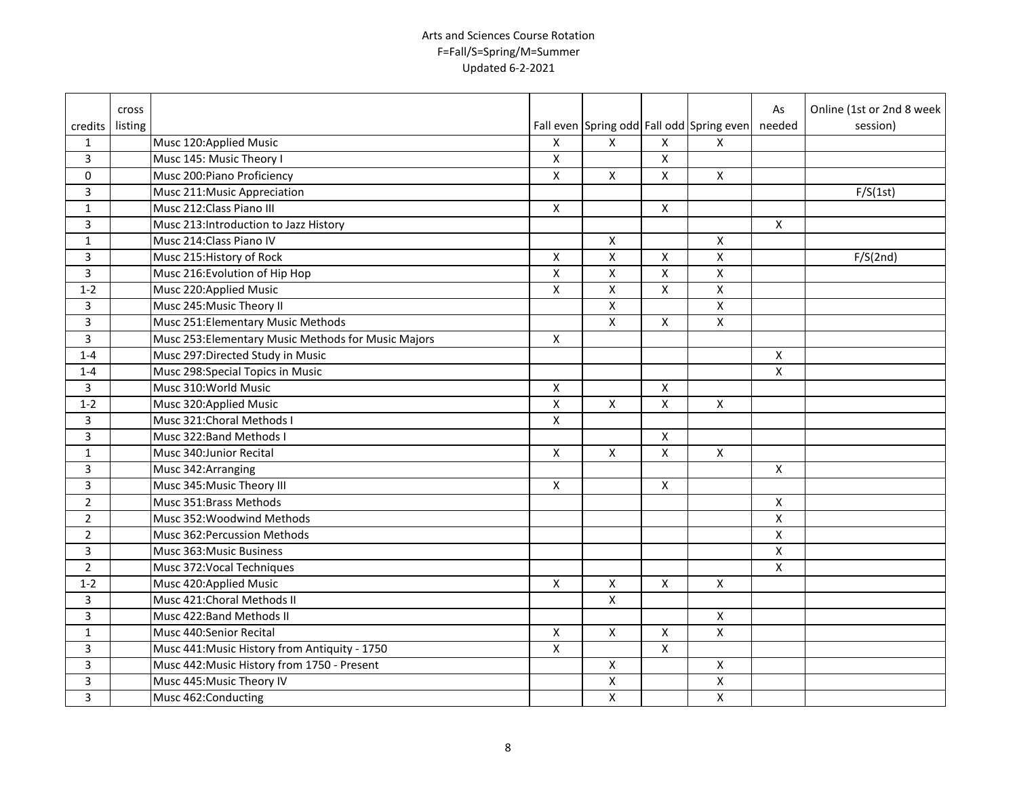|                | cross   |                                                     |                    |                         |                    |                                           | As                      | Online (1st or 2nd 8 week |
|----------------|---------|-----------------------------------------------------|--------------------|-------------------------|--------------------|-------------------------------------------|-------------------------|---------------------------|
| credits        | listing |                                                     |                    |                         |                    | Fall even Spring odd Fall odd Spring even | needed                  | session)                  |
| $\mathbf{1}$   |         | Musc 120:Applied Music                              | X                  | X                       | X                  | X                                         |                         |                           |
| 3              |         | Musc 145: Music Theory I                            | X                  |                         | X                  |                                           |                         |                           |
| 0              |         | Musc 200: Piano Proficiency                         | $\pmb{\mathsf{X}}$ | X                       | X                  | $\pmb{\times}$                            |                         |                           |
| $\overline{3}$ |         | Musc 211: Music Appreciation                        |                    |                         |                    |                                           |                         | F/S(1st)                  |
| $\mathbf{1}$   |         | Musc 212: Class Piano III                           | X                  |                         | $\pmb{\mathsf{X}}$ |                                           |                         |                           |
| $\overline{3}$ |         | Musc 213: Introduction to Jazz History              |                    |                         |                    |                                           | X                       |                           |
| $\mathbf{1}$   |         | Musc 214: Class Piano IV                            |                    | X                       |                    | X                                         |                         |                           |
| $\overline{3}$ |         | Musc 215: History of Rock                           | X                  | X                       | X                  | $\pmb{\times}$                            |                         | F/S(2nd)                  |
| $\overline{3}$ |         | Musc 216: Evolution of Hip Hop                      | $\pmb{\mathsf{X}}$ | X                       | X                  | $\pmb{\times}$                            |                         |                           |
| $1 - 2$        |         | Musc 220:Applied Music                              | X                  | X                       | $\pmb{\mathsf{X}}$ | $\pmb{\times}$                            |                         |                           |
| 3              |         | Musc 245: Music Theory II                           |                    | X                       |                    | X                                         |                         |                           |
| $\overline{3}$ |         | Musc 251: Elementary Music Methods                  |                    | X                       | X                  | $\pmb{\times}$                            |                         |                           |
| 3              |         | Musc 253: Elementary Music Methods for Music Majors | X                  |                         |                    |                                           |                         |                           |
| $1 - 4$        |         | Musc 297: Directed Study in Music                   |                    |                         |                    |                                           | X                       |                           |
| $1 - 4$        |         | Musc 298: Special Topics in Music                   |                    |                         |                    |                                           | X                       |                           |
| 3              |         | Musc 310: World Music                               | X                  |                         | X                  |                                           |                         |                           |
| $1 - 2$        |         | Musc 320: Applied Music                             | X                  | X                       | X                  | X                                         |                         |                           |
| 3              |         | Musc 321: Choral Methods I                          | X                  |                         |                    |                                           |                         |                           |
| 3              |         | Musc 322: Band Methods I                            |                    |                         | X                  |                                           |                         |                           |
| $\mathbf{1}$   |         | Musc 340: Junior Recital                            | X                  | X                       | X                  | X                                         |                         |                           |
| 3              |         | Musc 342: Arranging                                 |                    |                         |                    |                                           | X                       |                           |
| 3              |         | Musc 345: Music Theory III                          | X                  |                         | X                  |                                           |                         |                           |
| $\overline{2}$ |         | Musc 351:Brass Methods                              |                    |                         |                    |                                           | X                       |                           |
| $\overline{2}$ |         | Musc 352: Woodwind Methods                          |                    |                         |                    |                                           | $\pmb{\mathsf{X}}$      |                           |
| $\overline{2}$ |         | Musc 362: Percussion Methods                        |                    |                         |                    |                                           | $\overline{\mathsf{x}}$ |                           |
| $\overline{3}$ |         | Musc 363: Music Business                            |                    |                         |                    |                                           | $\pmb{\mathsf{X}}$      |                           |
| $\overline{2}$ |         | Musc 372: Vocal Techniques                          |                    |                         |                    |                                           | $\pmb{\mathsf{X}}$      |                           |
| $1 - 2$        |         | Musc 420: Applied Music                             | $\pmb{\mathsf{X}}$ | $\pmb{\mathsf{X}}$      | $\pmb{\mathsf{X}}$ | $\pmb{\times}$                            |                         |                           |
| 3              |         | Musc 421: Choral Methods II                         |                    | $\overline{\mathsf{x}}$ |                    |                                           |                         |                           |
| $\overline{3}$ |         | Musc 422: Band Methods II                           |                    |                         |                    | X                                         |                         |                           |
| $\mathbf{1}$   |         | Musc 440:Senior Recital                             | X                  | X                       | X                  | $\overline{X}$                            |                         |                           |
| 3              |         | Musc 441: Music History from Antiquity - 1750       | X                  |                         | X                  |                                           |                         |                           |
| 3              |         | Musc 442: Music History from 1750 - Present         |                    | X                       |                    | X                                         |                         |                           |
| 3              |         | Musc 445: Music Theory IV                           |                    | $\pmb{\mathsf{X}}$      |                    | $\mathsf{X}$                              |                         |                           |
| 3              |         | Musc 462: Conducting                                |                    | $\pmb{\mathsf{X}}$      |                    | $\boldsymbol{\mathsf{X}}$                 |                         |                           |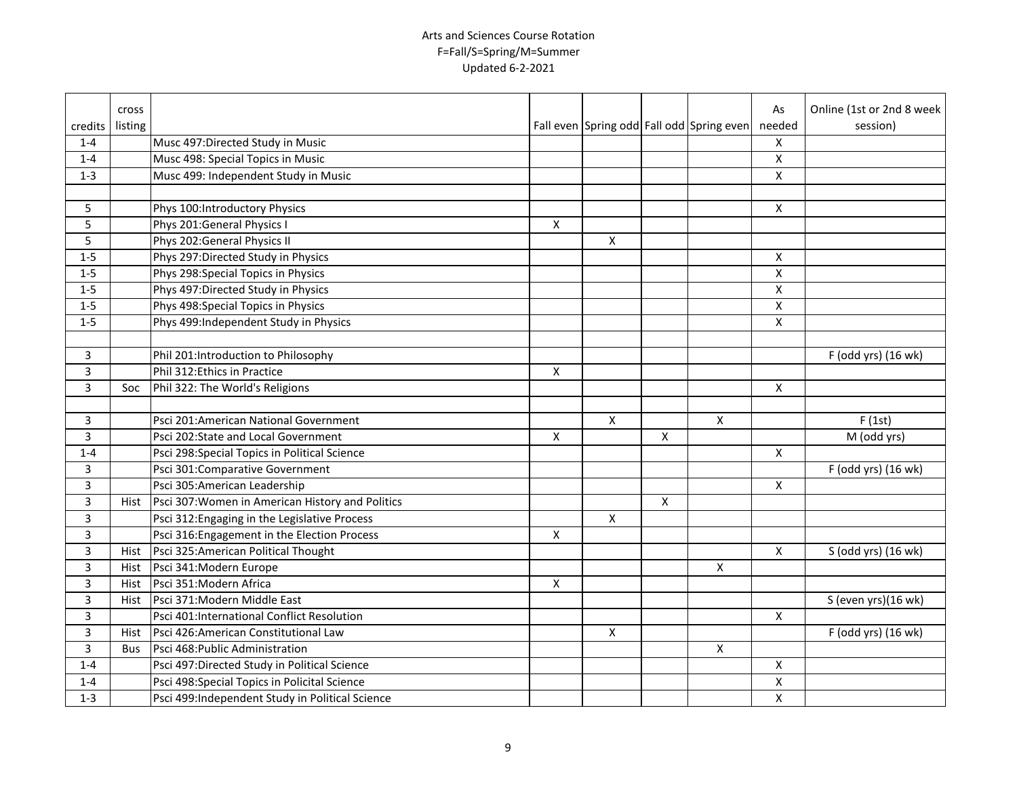|                | cross      |                                                  |   |   |                |                                           | As                 | Online (1st or 2nd 8 week |
|----------------|------------|--------------------------------------------------|---|---|----------------|-------------------------------------------|--------------------|---------------------------|
| credits        | listing    |                                                  |   |   |                | Fall even Spring odd Fall odd Spring even | needed             | session)                  |
| $1 - 4$        |            | Musc 497: Directed Study in Music                |   |   |                |                                           | X                  |                           |
| $1 - 4$        |            | Musc 498: Special Topics in Music                |   |   |                |                                           | X                  |                           |
| $1 - 3$        |            | Musc 499: Independent Study in Music             |   |   |                |                                           | $\pmb{\times}$     |                           |
|                |            |                                                  |   |   |                |                                           |                    |                           |
| 5              |            | Phys 100:Introductory Physics                    |   |   |                |                                           | $\pmb{\times}$     |                           |
| 5              |            | Phys 201: General Physics I                      | X |   |                |                                           |                    |                           |
| 5              |            | Phys 202: General Physics II                     |   | X |                |                                           |                    |                           |
| $1 - 5$        |            | Phys 297: Directed Study in Physics              |   |   |                |                                           | Χ                  |                           |
| $1 - 5$        |            | Phys 298: Special Topics in Physics              |   |   |                |                                           | $\pmb{\times}$     |                           |
| $1 - 5$        |            | Phys 497: Directed Study in Physics              |   |   |                |                                           | X                  |                           |
| $1 - 5$        |            | Phys 498: Special Topics in Physics              |   |   |                |                                           | X                  |                           |
| $1 - 5$        |            | Phys 499: Independent Study in Physics           |   |   |                |                                           | X                  |                           |
|                |            |                                                  |   |   |                |                                           |                    |                           |
| 3              |            | Phil 201:Introduction to Philosophy              |   |   |                |                                           |                    | F (odd yrs) (16 wk)       |
| 3              |            | Phil 312: Ethics in Practice                     | X |   |                |                                           |                    |                           |
| 3              | Soc        | Phil 322: The World's Religions                  |   |   |                |                                           | Χ                  |                           |
|                |            |                                                  |   |   |                |                                           |                    |                           |
| 3              |            | Psci 201:American National Government            |   | X |                | X                                         |                    | F(1st)                    |
| 3              |            | Psci 202:State and Local Government              | X |   | X              |                                           |                    | M (odd yrs)               |
| $1 - 4$        |            | Psci 298:Special Topics in Political Science     |   |   |                |                                           | X                  |                           |
| 3              |            | Psci 301: Comparative Government                 |   |   |                |                                           |                    | F (odd yrs) (16 wk)       |
| $\overline{3}$ |            | Psci 305: American Leadership                    |   |   |                |                                           | X                  |                           |
| 3              | Hist       | Psci 307: Women in American History and Politics |   |   | $\pmb{\times}$ |                                           |                    |                           |
| 3              |            | Psci 312: Engaging in the Legislative Process    |   | X |                |                                           |                    |                           |
| 3              |            | Psci 316: Engagement in the Election Process     | X |   |                |                                           |                    |                           |
| 3              |            | Hist Psci 325:American Political Thought         |   |   |                |                                           | X                  | S (odd yrs) (16 wk)       |
| 3              |            | Hist Psci 341:Modern Europe                      |   |   |                | $\pmb{\times}$                            |                    |                           |
| 3              |            | Hist Psci 351: Modern Africa                     | X |   |                |                                           |                    |                           |
| 3              | Hist       | Psci 371: Modern Middle East                     |   |   |                |                                           |                    | S (even yrs)(16 wk)       |
| 3              |            | Psci 401:International Conflict Resolution       |   |   |                |                                           | X                  |                           |
| 3              |            | Hist Psci 426:American Constitutional Law        |   | X |                |                                           |                    | F (odd yrs) (16 wk)       |
| 3              | <b>Bus</b> | Psci 468: Public Administration                  |   |   |                | $\pmb{\times}$                            |                    |                           |
| $1 - 4$        |            | Psci 497: Directed Study in Political Science    |   |   |                |                                           | X                  |                           |
| $1 - 4$        |            | Psci 498: Special Topics in Policital Science    |   |   |                |                                           | $\pmb{\mathsf{X}}$ |                           |
| $1 - 3$        |            | Psci 499:Independent Study in Political Science  |   |   |                |                                           | $\mathsf{X}$       |                           |